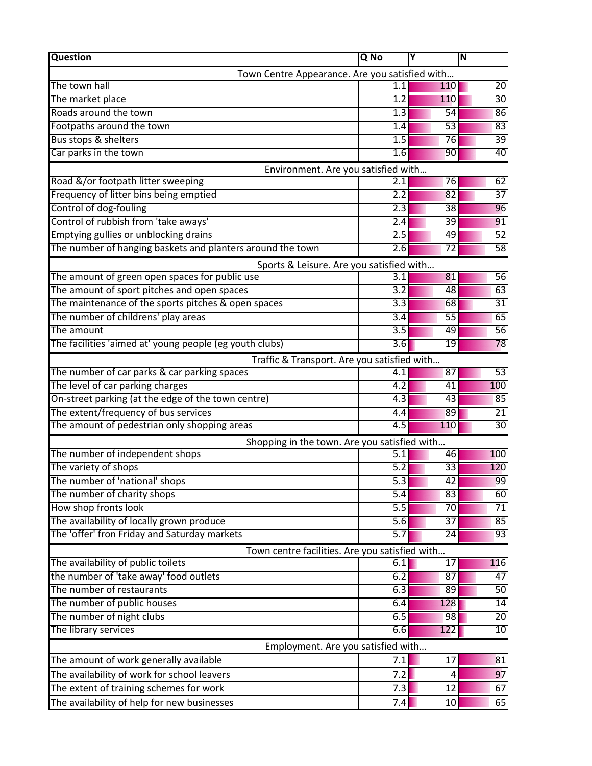| <b>Question</b>                                            | Q No             | Y               | N               |
|------------------------------------------------------------|------------------|-----------------|-----------------|
| Town Centre Appearance. Are you satisfied with             |                  |                 |                 |
| The town hall                                              | 1.1              | 110             | 20              |
| The market place                                           | $\overline{1.2}$ | 110             | 30              |
| Roads around the town                                      | 1.3              | 54              | 86              |
| Footpaths around the town                                  | 1.4              | 53              | 83              |
| Bus stops & shelters                                       | 1.5              | 76              | 39              |
| Car parks in the town                                      | 1.6              | 90              | 40              |
| Environment. Are you satisfied with                        |                  |                 |                 |
| Road &/or footpath litter sweeping                         | 2.1              | 76              | 62              |
| Frequency of litter bins being emptied                     | $\overline{2.2}$ | 82              | $\overline{37}$ |
| Control of dog-fouling                                     | $\overline{2.3}$ | $\overline{38}$ | 96              |
| Control of rubbish from 'take aways'                       | 2.4              | 39              | 91              |
| Emptying gullies or unblocking drains                      | 2.5              | 49              | 52              |
| The number of hanging baskets and planters around the town | 2.6              | 72              | 58              |
| Sports & Leisure. Are you satisfied with                   |                  |                 |                 |
| The amount of green open spaces for public use             | 3.1              | 81              | 56              |
| The amount of sport pitches and open spaces                | $\overline{3.2}$ | 48              | 63              |
| The maintenance of the sports pitches & open spaces        | $\overline{3.3}$ | 68              | 31              |
| The number of childrens' play areas                        | 3.4              | 55              | 65              |
| The amount                                                 | $\overline{3.5}$ | 49              | 56              |
| The facilities 'aimed at' young people (eg youth clubs)    | 3.6              | 19              | 78              |
| Traffic & Transport. Are you satisfied with                |                  |                 |                 |
| The number of car parks & car parking spaces               | 4.1              | 87              | 53              |
| The level of car parking charges                           | $\overline{4.2}$ | 41              | 100             |
| On-street parking (at the edge of the town centre)         | 4.3              | 43              | 85              |
| The extent/frequency of bus services                       | 4.4              | 89              | 21              |
| The amount of pedestrian only shopping areas               | 4.5              | 110             | 30              |
| Shopping in the town. Are you satisfied with               |                  |                 |                 |
| The number of independent shops                            | $\overline{5.1}$ | 46              | 100             |
| The variety of shops                                       | 5.2              | 33              | 120             |
| The number of 'national' shops                             | 5.3              | $\overline{42}$ | 99              |
| The number of charity shops                                | 5.4              | 83              | 60              |
| How shop fronts look                                       | 5.5              | 70              | 71              |
| The availability of locally grown produce                  | 5.6              | $\overline{37}$ | 85              |
| The 'offer' fron Friday and Saturday markets               | 5.7              | 24              | 93              |
| Town centre facilities. Are you satisfied with             |                  |                 |                 |
| The availability of public toilets                         | 6.1              | 17              | 116             |
| the number of 'take away' food outlets                     | 6.2              | 87              | 47              |
| The number of restaurants                                  | 6.3              | 89              | 50              |
| The number of public houses                                | 6.4              | 128             | 14              |
| The number of night clubs                                  | 6.5              | 98              | 20              |
| The library services                                       | 6.6              | 122             | 10              |
| Employment. Are you satisfied with                         |                  |                 |                 |
| The amount of work generally available                     | 7.1              | 17              | 81              |
|                                                            |                  |                 |                 |
| The availability of work for school leavers                | 7.2              | 4               | 97              |
| The extent of training schemes for work                    | 7.3              | 12              | 67              |
| The availability of help for new businesses                | 7.4              | 10              | 65              |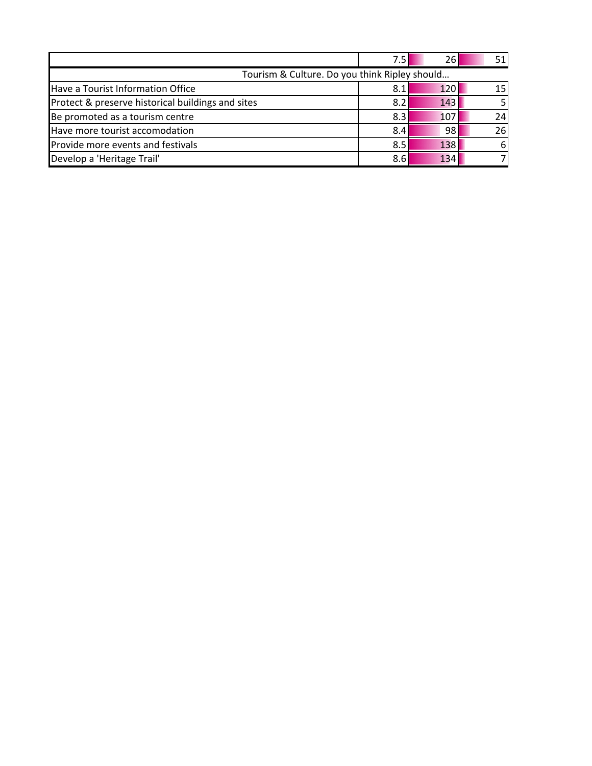|                                                   |     | 261        |    |  |
|---------------------------------------------------|-----|------------|----|--|
| Tourism & Culture. Do you think Ripley should     |     |            |    |  |
| Have a Tourist Information Office                 | 8.: | <b>120</b> | 15 |  |
| Protect & preserve historical buildings and sites | 8.  | 143        |    |  |
| Be promoted as a tourism centre                   | 8.3 | 107        | 24 |  |
| Have more tourist accomodation                    | 8.4 | 98         | 26 |  |
| Provide more events and festivals                 | 8.5 | 138        | 61 |  |
| Develop a 'Heritage Trail'                        | 8.6 | 134        |    |  |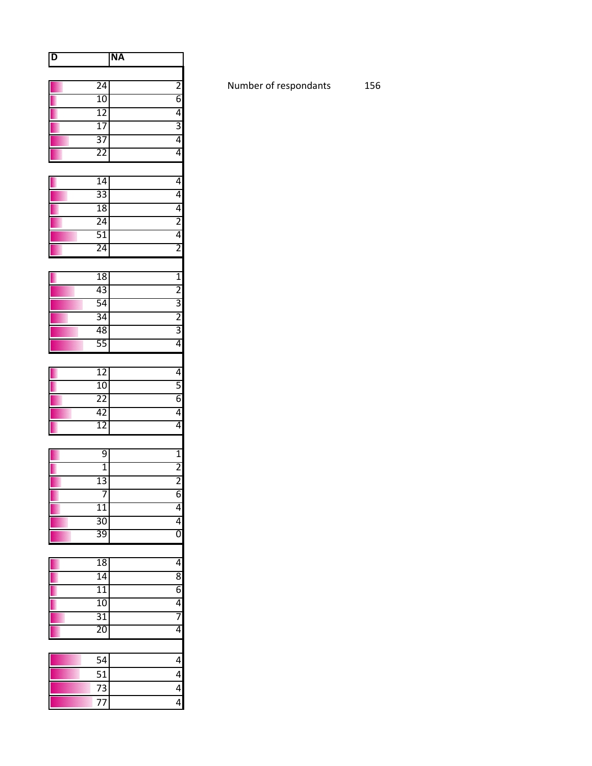| D |                 | <b>NA</b>               |
|---|-----------------|-------------------------|
|   |                 |                         |
|   | 24              | $\overline{\mathbf{c}}$ |
|   | 10              | $\overline{6}$          |
|   | 12              | $\overline{4}$          |
|   | $\overline{17}$ | $\overline{3}$          |
|   | 37              | $\overline{4}$          |
|   | 22              | 4                       |
|   | $\overline{14}$ | 4                       |
|   | 33              | 4                       |
|   | 18              | 4                       |
|   | 24              | $\overline{2}$          |
|   | 51              | $\overline{4}$          |
|   | 24              | $\overline{2}$          |
|   |                 |                         |
|   | 18              | $\frac{1}{2}$           |
|   | 43              |                         |
|   | 54              | $\overline{3}$          |
|   | 34              | $\overline{2}$          |
|   | 48              | $\frac{3}{4}$           |
|   | 55              |                         |
|   | $\overline{12}$ | 4                       |
|   | $\overline{10}$ | $\overline{5}$          |
|   | 22              | $\overline{6}$          |
|   | 42              | 4                       |
|   | $\overline{12}$ | 4                       |
|   | 9               |                         |
|   | $\overline{1}$  | $\overline{1}$          |
|   | 13              | $\frac{2}{2}$           |
|   | 7               | 6                       |
|   | <u>11</u>       | 4                       |
|   | $\overline{30}$ | $\overline{4}$          |
|   | 39              | $\overline{0}$          |
|   |                 |                         |
|   | 18              | $\overline{4}$          |
|   | 14              | 8                       |
|   | 11              |                         |
|   | 10              | $rac{6}{4}$             |
|   | 31<br>20        | 4                       |
|   |                 |                         |
|   | 54              | 4                       |
|   | 51              | 4                       |
|   | 73              | 4                       |
|   | 77              | $\overline{4}$          |

Number of respondants 156